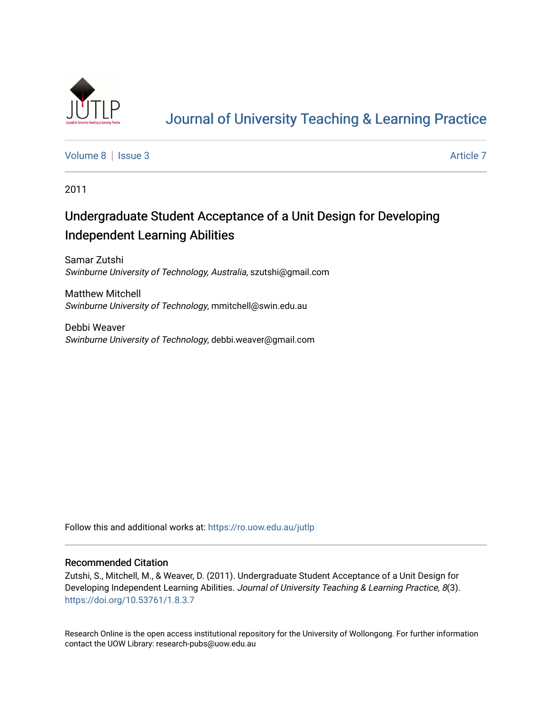

# [Journal of University Teaching & Learning Practice](https://ro.uow.edu.au/jutlp)

[Volume 8](https://ro.uow.edu.au/jutlp/vol8) | [Issue 3](https://ro.uow.edu.au/jutlp/vol8/iss3) Article 7

2011

# Undergraduate Student Acceptance of a Unit Design for Developing Independent Learning Abilities

Samar Zutshi Swinburne University of Technology, Australia, szutshi@gmail.com

Matthew Mitchell Swinburne University of Technology, mmitchell@swin.edu.au

Debbi Weaver Swinburne University of Technology, debbi.weaver@gmail.com

Follow this and additional works at: [https://ro.uow.edu.au/jutlp](https://ro.uow.edu.au/jutlp?utm_source=ro.uow.edu.au%2Fjutlp%2Fvol8%2Fiss3%2F7&utm_medium=PDF&utm_campaign=PDFCoverPages) 

#### Recommended Citation

Zutshi, S., Mitchell, M., & Weaver, D. (2011). Undergraduate Student Acceptance of a Unit Design for Developing Independent Learning Abilities. Journal of University Teaching & Learning Practice, 8(3). <https://doi.org/10.53761/1.8.3.7>

Research Online is the open access institutional repository for the University of Wollongong. For further information contact the UOW Library: research-pubs@uow.edu.au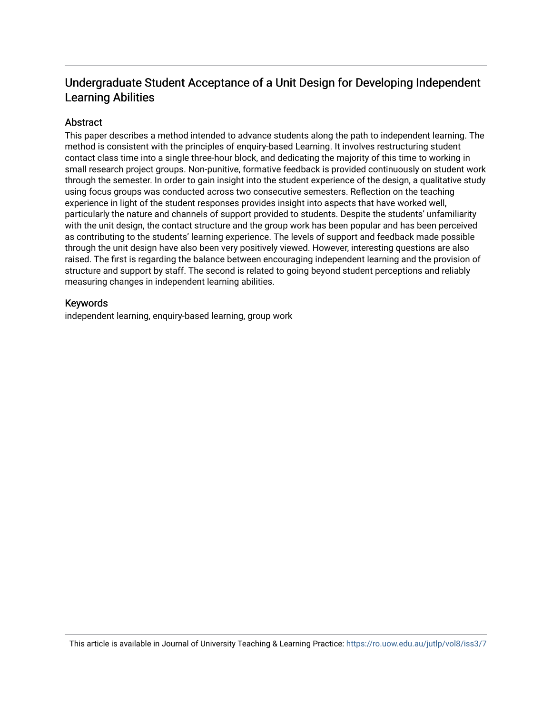# Undergraduate Student Acceptance of a Unit Design for Developing Independent Learning Abilities

#### **Abstract**

This paper describes a method intended to advance students along the path to independent learning. The method is consistent with the principles of enquiry-based Learning. It involves restructuring student contact class time into a single three-hour block, and dedicating the majority of this time to working in small research project groups. Non-punitive, formative feedback is provided continuously on student work through the semester. In order to gain insight into the student experience of the design, a qualitative study using focus groups was conducted across two consecutive semesters. Reflection on the teaching experience in light of the student responses provides insight into aspects that have worked well, particularly the nature and channels of support provided to students. Despite the students' unfamiliarity with the unit design, the contact structure and the group work has been popular and has been perceived as contributing to the students' learning experience. The levels of support and feedback made possible through the unit design have also been very positively viewed. However, interesting questions are also raised. The first is regarding the balance between encouraging independent learning and the provision of structure and support by staff. The second is related to going beyond student perceptions and reliably measuring changes in independent learning abilities.

#### Keywords

independent learning, enquiry-based learning, group work

This article is available in Journal of University Teaching & Learning Practice:<https://ro.uow.edu.au/jutlp/vol8/iss3/7>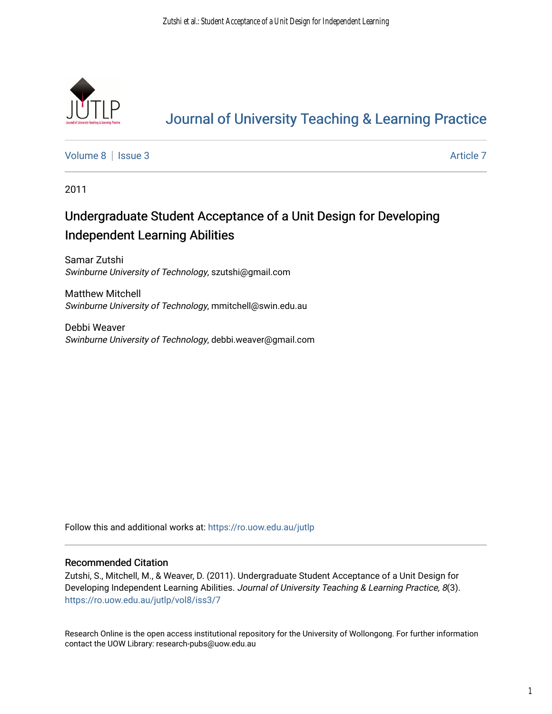

# [Journal of University Teaching & Learning Practice](https://ro.uow.edu.au/jutlp)

[Volume 8](https://ro.uow.edu.au/jutlp/vol8) | [Issue 3](https://ro.uow.edu.au/jutlp/vol8/iss3) Article 7

2011

# Undergraduate Student Acceptance of a Unit Design for Developing Independent Learning Abilities

Samar Zutshi Swinburne University of Technology, szutshi@gmail.com

Matthew Mitchell Swinburne University of Technology, mmitchell@swin.edu.au

Debbi Weaver Swinburne University of Technology, debbi.weaver@gmail.com

Follow this and additional works at: [https://ro.uow.edu.au/jutlp](https://ro.uow.edu.au/jutlp?utm_source=ro.uow.edu.au%2Fjutlp%2Fvol8%2Fiss3%2F7&utm_medium=PDF&utm_campaign=PDFCoverPages) 

#### Recommended Citation

Zutshi, S., Mitchell, M., & Weaver, D. (2011). Undergraduate Student Acceptance of a Unit Design for Developing Independent Learning Abilities. Journal of University Teaching & Learning Practice, 8(3). [https://ro.uow.edu.au/jutlp/vol8/iss3/7](https://ro.uow.edu.au/jutlp/vol8/iss3/7?utm_source=ro.uow.edu.au%2Fjutlp%2Fvol8%2Fiss3%2F7&utm_medium=PDF&utm_campaign=PDFCoverPages) 

Research Online is the open access institutional repository for the University of Wollongong. For further information contact the UOW Library: research-pubs@uow.edu.au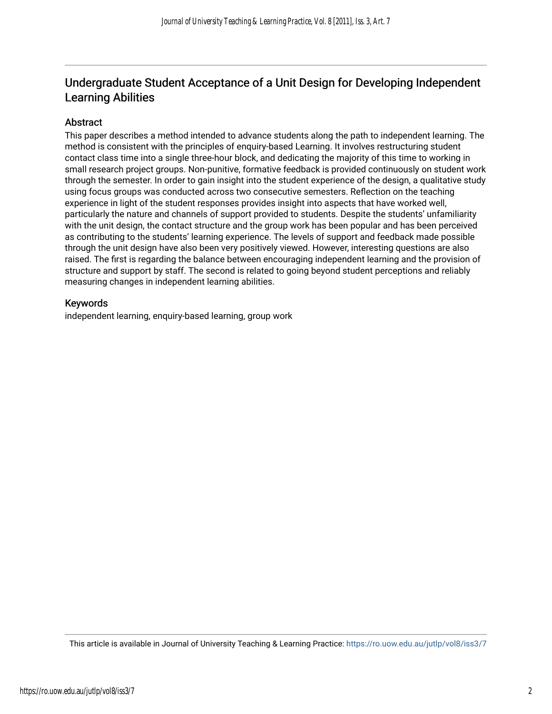# Undergraduate Student Acceptance of a Unit Design for Developing Independent Learning Abilities

#### Abstract

This paper describes a method intended to advance students along the path to independent learning. The method is consistent with the principles of enquiry-based Learning. It involves restructuring student contact class time into a single three-hour block, and dedicating the majority of this time to working in small research project groups. Non-punitive, formative feedback is provided continuously on student work through the semester. In order to gain insight into the student experience of the design, a qualitative study using focus groups was conducted across two consecutive semesters. Reflection on the teaching experience in light of the student responses provides insight into aspects that have worked well, particularly the nature and channels of support provided to students. Despite the students' unfamiliarity with the unit design, the contact structure and the group work has been popular and has been perceived as contributing to the students' learning experience. The levels of support and feedback made possible through the unit design have also been very positively viewed. However, interesting questions are also raised. The first is regarding the balance between encouraging independent learning and the provision of structure and support by staff. The second is related to going beyond student perceptions and reliably measuring changes in independent learning abilities.

#### Keywords

independent learning, enquiry-based learning, group work

This article is available in Journal of University Teaching & Learning Practice:<https://ro.uow.edu.au/jutlp/vol8/iss3/7>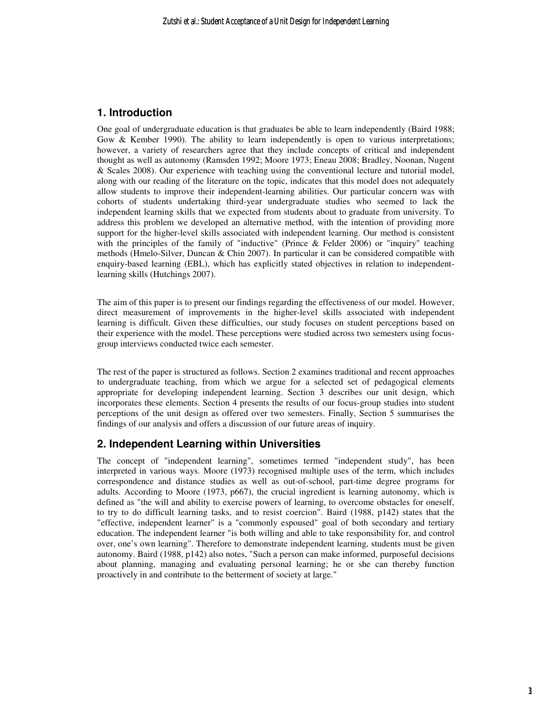#### **1. Introduction**

One goal of undergraduate education is that graduates be able to learn independently (Baird 1988; Gow & Kember 1990). The ability to learn independently is open to various interpretations; however, a variety of researchers agree that they include concepts of critical and independent thought as well as autonomy (Ramsden 1992; Moore 1973; Eneau 2008; Bradley, Noonan, Nugent & Scales 2008). Our experience with teaching using the conventional lecture and tutorial model, along with our reading of the literature on the topic, indicates that this model does not adequately allow students to improve their independent-learning abilities. Our particular concern was with cohorts of students undertaking third-year undergraduate studies who seemed to lack the independent learning skills that we expected from students about to graduate from university. To address this problem we developed an alternative method, with the intention of providing more support for the higher-level skills associated with independent learning. Our method is consistent with the principles of the family of "inductive" (Prince & Felder 2006) or "inquiry" teaching methods (Hmelo-Silver, Duncan & Chin 2007). In particular it can be considered compatible with enquiry-based learning (EBL), which has explicitly stated objectives in relation to independentlearning skills (Hutchings 2007).

The aim of this paper is to present our findings regarding the effectiveness of our model. However, direct measurement of improvements in the higher-level skills associated with independent learning is difficult. Given these difficulties, our study focuses on student perceptions based on their experience with the model. These perceptions were studied across two semesters using focusgroup interviews conducted twice each semester.

The rest of the paper is structured as follows. Section 2 examines traditional and recent approaches to undergraduate teaching, from which we argue for a selected set of pedagogical elements appropriate for developing independent learning. Section 3 describes our unit design, which incorporates these elements. Section 4 presents the results of our focus-group studies into student perceptions of the unit design as offered over two semesters. Finally, Section 5 summarises the findings of our analysis and offers a discussion of our future areas of inquiry.

#### **2. Independent Learning within Universities**

The concept of "independent learning", sometimes termed "independent study", has been interpreted in various ways. Moore (1973) recognised multiple uses of the term, which includes correspondence and distance studies as well as out-of-school, part-time degree programs for adults. According to Moore (1973, p667), the crucial ingredient is learning autonomy, which is defined as "the will and ability to exercise powers of learning, to overcome obstacles for oneself, to try to do difficult learning tasks, and to resist coercion". Baird (1988, p142) states that the "effective, independent learner" is a "commonly espoused" goal of both secondary and tertiary education. The independent learner "is both willing and able to take responsibility for, and control over, one's own learning". Therefore to demonstrate independent learning, students must be given autonomy. Baird (1988, p142) also notes, "Such a person can make informed, purposeful decisions about planning, managing and evaluating personal learning; he or she can thereby function proactively in and contribute to the betterment of society at large."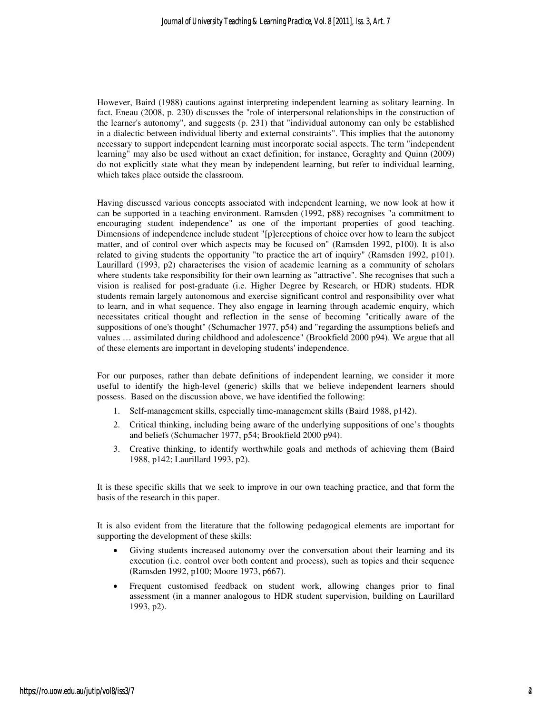However, Baird (1988) cautions against interpreting independent learning as solitary learning. In fact, Eneau (2008, p. 230) discusses the "role of interpersonal relationships in the construction of the learner's autonomy", and suggests (p. 231) that "individual autonomy can only be established in a dialectic between individual liberty and external constraints". This implies that the autonomy necessary to support independent learning must incorporate social aspects. The term "independent learning" may also be used without an exact definition; for instance, Geraghty and Quinn (2009) do not explicitly state what they mean by independent learning, but refer to individual learning, which takes place outside the classroom.

Having discussed various concepts associated with independent learning, we now look at how it can be supported in a teaching environment. Ramsden (1992, p88) recognises "a commitment to encouraging student independence" as one of the important properties of good teaching. Dimensions of independence include student "[p]erceptions of choice over how to learn the subject matter, and of control over which aspects may be focused on" (Ramsden 1992, p100). It is also related to giving students the opportunity "to practice the art of inquiry" (Ramsden 1992, p101). Laurillard (1993, p2) characterises the vision of academic learning as a community of scholars where students take responsibility for their own learning as "attractive". She recognises that such a vision is realised for post-graduate (i.e. Higher Degree by Research, or HDR) students. HDR students remain largely autonomous and exercise significant control and responsibility over what to learn, and in what sequence. They also engage in learning through academic enquiry, which necessitates critical thought and reflection in the sense of becoming "critically aware of the suppositions of one's thought" (Schumacher 1977, p54) and "regarding the assumptions beliefs and values … assimilated during childhood and adolescence" (Brookfield 2000 p94). We argue that all of these elements are important in developing students' independence.

For our purposes, rather than debate definitions of independent learning, we consider it more useful to identify the high-level (generic) skills that we believe independent learners should possess. Based on the discussion above, we have identified the following:

- 1. Self-management skills, especially time-management skills (Baird 1988, p142).
- 2. Critical thinking, including being aware of the underlying suppositions of one's thoughts and beliefs (Schumacher 1977, p54; Brookfield 2000 p94).
- 3. Creative thinking, to identify worthwhile goals and methods of achieving them (Baird 1988, p142; Laurillard 1993, p2).

It is these specific skills that we seek to improve in our own teaching practice, and that form the basis of the research in this paper.

It is also evident from the literature that the following pedagogical elements are important for supporting the development of these skills:

- Giving students increased autonomy over the conversation about their learning and its execution (i.e. control over both content and process), such as topics and their sequence (Ramsden 1992, p100; Moore 1973, p667).
- Frequent customised feedback on student work, allowing changes prior to final assessment (in a manner analogous to HDR student supervision, building on Laurillard 1993, p2).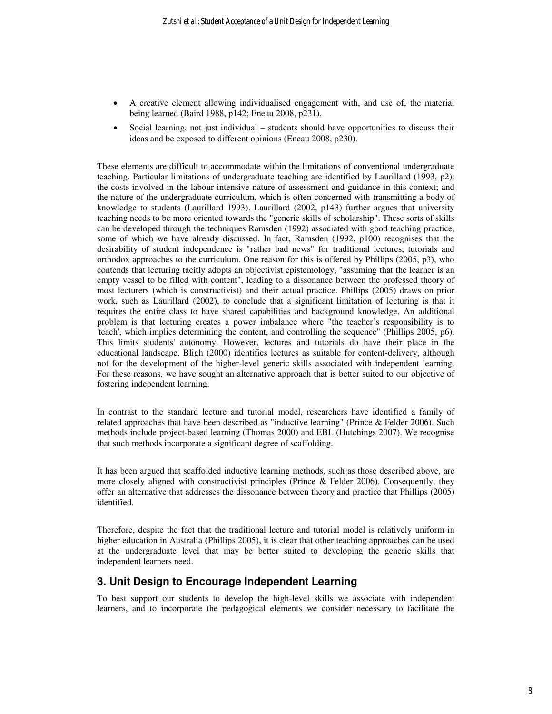- A creative element allowing individualised engagement with, and use of, the material being learned (Baird 1988, p142; Eneau 2008, p231).
- Social learning, not just individual students should have opportunities to discuss their ideas and be exposed to different opinions (Eneau 2008, p230).

These elements are difficult to accommodate within the limitations of conventional undergraduate teaching. Particular limitations of undergraduate teaching are identified by Laurillard (1993, p2): the costs involved in the labour-intensive nature of assessment and guidance in this context; and the nature of the undergraduate curriculum, which is often concerned with transmitting a body of knowledge to students (Laurillard 1993). Laurillard (2002, p143) further argues that university teaching needs to be more oriented towards the "generic skills of scholarship". These sorts of skills can be developed through the techniques Ramsden (1992) associated with good teaching practice, some of which we have already discussed. In fact, Ramsden (1992, p100) recognises that the desirability of student independence is "rather bad news" for traditional lectures, tutorials and orthodox approaches to the curriculum. One reason for this is offered by Phillips (2005, p3), who contends that lecturing tacitly adopts an objectivist epistemology, "assuming that the learner is an empty vessel to be filled with content", leading to a dissonance between the professed theory of most lecturers (which is constructivist) and their actual practice. Phillips (2005) draws on prior work, such as Laurillard (2002), to conclude that a significant limitation of lecturing is that it requires the entire class to have shared capabilities and background knowledge. An additional problem is that lecturing creates a power imbalance where "the teacher's responsibility is to 'teach', which implies determining the content, and controlling the sequence" (Phillips 2005, p6). This limits students' autonomy. However, lectures and tutorials do have their place in the educational landscape. Bligh (2000) identifies lectures as suitable for content-delivery, although not for the development of the higher-level generic skills associated with independent learning. For these reasons, we have sought an alternative approach that is better suited to our objective of fostering independent learning.

In contrast to the standard lecture and tutorial model, researchers have identified a family of related approaches that have been described as "inductive learning" (Prince & Felder 2006). Such methods include project-based learning (Thomas 2000) and EBL (Hutchings 2007). We recognise that such methods incorporate a significant degree of scaffolding.

It has been argued that scaffolded inductive learning methods, such as those described above, are more closely aligned with constructivist principles (Prince & Felder 2006). Consequently, they offer an alternative that addresses the dissonance between theory and practice that Phillips (2005) identified.

Therefore, despite the fact that the traditional lecture and tutorial model is relatively uniform in higher education in Australia (Phillips 2005), it is clear that other teaching approaches can be used at the undergraduate level that may be better suited to developing the generic skills that independent learners need.

#### **3. Unit Design to Encourage Independent Learning**

To best support our students to develop the high-level skills we associate with independent learners, and to incorporate the pedagogical elements we consider necessary to facilitate the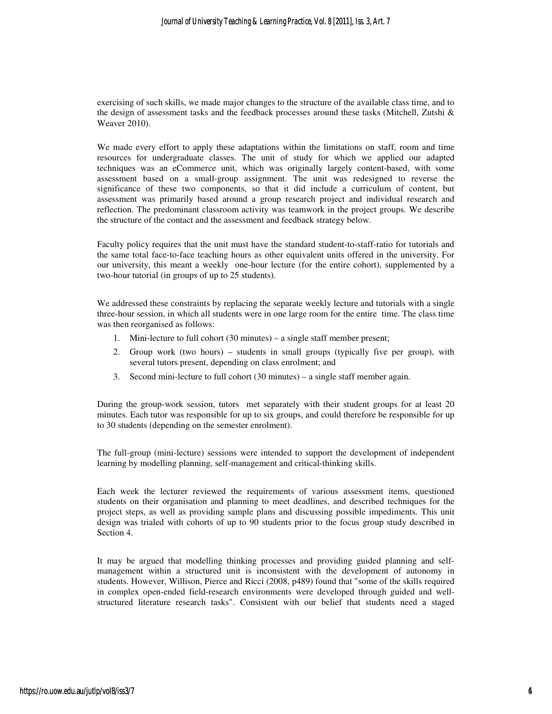exercising of such skills, we made major changes to the structure of the available class time, and to the design of assessment tasks and the feedback processes around these tasks (Mitchell, Zutshi & Weaver 2010).

We made every effort to apply these adaptations within the limitations on staff, room and time resources for undergraduate classes. The unit of study for which we applied our adapted techniques was an eCommerce unit, which was originally largely content-based, with some assessment based on a small-group assignment. The unit was redesigned to reverse the significance of these two components, so that it did include a curriculum of content, but assessment was primarily based around a group research project and individual research and reflection. The predominant classroom activity was teamwork in the project groups. We describe the structure of the contact and the assessment and feedback strategy below.

Faculty policy requires that the unit must have the standard student-to-staff-ratio for tutorials and the same total face-to-face teaching hours as other equivalent units offered in the university. For our university, this meant a weekly one-hour lecture (for the entire cohort), supplemented by a two-hour tutorial (in groups of up to 25 students).

We addressed these constraints by replacing the separate weekly lecture and tutorials with a single three-hour session, in which all students were in one large room for the entire time. The class time was then reorganised as follows:

- 1. Mini-lecture to full cohort (30 minutes) a single staff member present;
- 2. Group work (two hours) students in small groups (typically five per group), with several tutors present, depending on class enrolment; and
- 3. Second mini-lecture to full cohort (30 minutes) a single staff member again.

During the group-work session, tutors met separately with their student groups for at least 20 minutes. Each tutor was responsible for up to six groups, and could therefore be responsible for up to 30 students (depending on the semester enrolment).

The full-group (mini-lecture) sessions were intended to support the development of independent learning by modelling planning, self-management and critical-thinking skills.

Each week the lecturer reviewed the requirements of various assessment items, questioned students on their organisation and planning to meet deadlines, and described techniques for the project steps, as well as providing sample plans and discussing possible impediments. This unit design was trialed with cohorts of up to 90 students prior to the focus group study described in Section 4.

It may be argued that modelling thinking processes and providing guided planning and selfmanagement within a structured unit is inconsistent with the development of autonomy in students. However, Willison, Pierce and Ricci (2008, p489) found that "some of the skills required in complex open-ended field-research environments were developed through guided and wellstructured literature research tasks". Consistent with our belief that students need a staged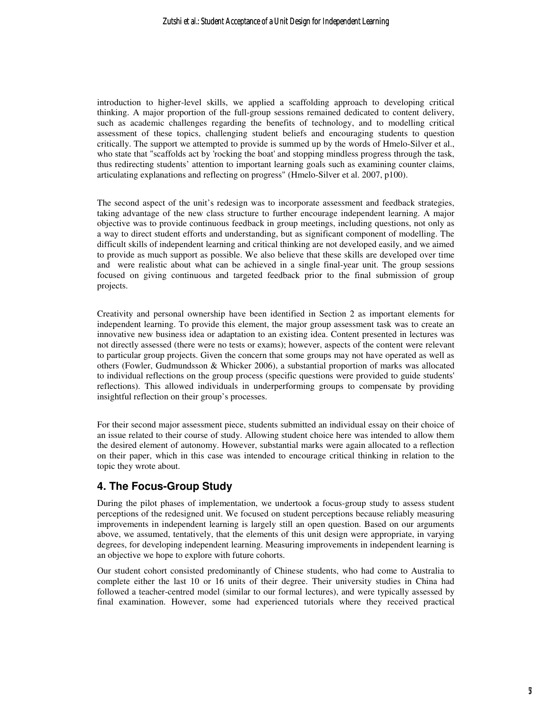introduction to higher-level skills, we applied a scaffolding approach to developing critical thinking. A major proportion of the full-group sessions remained dedicated to content delivery, such as academic challenges regarding the benefits of technology, and to modelling critical assessment of these topics, challenging student beliefs and encouraging students to question critically. The support we attempted to provide is summed up by the words of Hmelo-Silver et al., who state that "scaffolds act by 'rocking the boat' and stopping mindless progress through the task, thus redirecting students' attention to important learning goals such as examining counter claims, articulating explanations and reflecting on progress" (Hmelo-Silver et al. 2007, p100).

The second aspect of the unit's redesign was to incorporate assessment and feedback strategies, taking advantage of the new class structure to further encourage independent learning. A major objective was to provide continuous feedback in group meetings, including questions, not only as a way to direct student efforts and understanding, but as significant component of modelling. The difficult skills of independent learning and critical thinking are not developed easily, and we aimed to provide as much support as possible. We also believe that these skills are developed over time and were realistic about what can be achieved in a single final-year unit. The group sessions focused on giving continuous and targeted feedback prior to the final submission of group projects.

Creativity and personal ownership have been identified in Section 2 as important elements for independent learning. To provide this element, the major group assessment task was to create an innovative new business idea or adaptation to an existing idea. Content presented in lectures was not directly assessed (there were no tests or exams); however, aspects of the content were relevant to particular group projects. Given the concern that some groups may not have operated as well as others (Fowler, Gudmundsson & Whicker 2006), a substantial proportion of marks was allocated to individual reflections on the group process (specific questions were provided to guide students' reflections). This allowed individuals in underperforming groups to compensate by providing insightful reflection on their group's processes.

For their second major assessment piece, students submitted an individual essay on their choice of an issue related to their course of study. Allowing student choice here was intended to allow them the desired element of autonomy. However, substantial marks were again allocated to a reflection on their paper, which in this case was intended to encourage critical thinking in relation to the topic they wrote about.

## **4. The Focus-Group Study**

During the pilot phases of implementation, we undertook a focus-group study to assess student perceptions of the redesigned unit. We focused on student perceptions because reliably measuring improvements in independent learning is largely still an open question. Based on our arguments above, we assumed, tentatively, that the elements of this unit design were appropriate, in varying degrees, for developing independent learning. Measuring improvements in independent learning is an objective we hope to explore with future cohorts.

Our student cohort consisted predominantly of Chinese students, who had come to Australia to complete either the last 10 or 16 units of their degree. Their university studies in China had followed a teacher-centred model (similar to our formal lectures), and were typically assessed by final examination. However, some had experienced tutorials where they received practical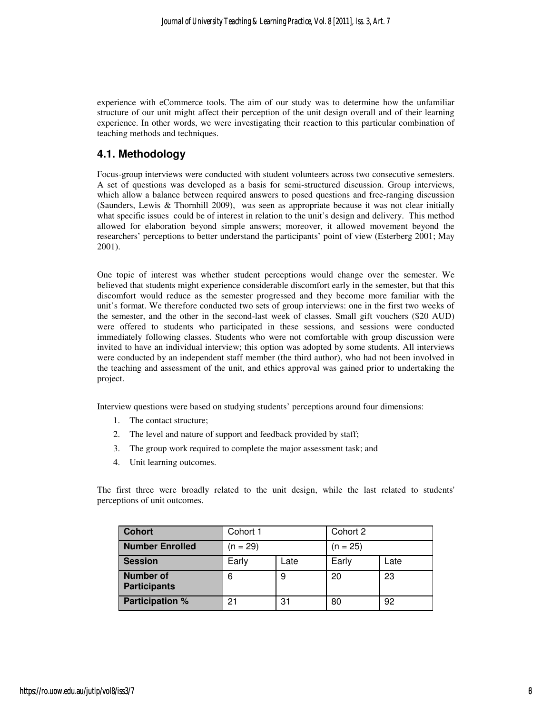experience with eCommerce tools. The aim of our study was to determine how the unfamiliar structure of our unit might affect their perception of the unit design overall and of their learning experience. In other words, we were investigating their reaction to this particular combination of teaching methods and techniques.

#### **4.1. Methodology**

Focus-group interviews were conducted with student volunteers across two consecutive semesters. A set of questions was developed as a basis for semi-structured discussion. Group interviews, which allow a balance between required answers to posed questions and free-ranging discussion (Saunders, Lewis & Thornhill 2009), was seen as appropriate because it was not clear initially what specific issues could be of interest in relation to the unit's design and delivery. This method allowed for elaboration beyond simple answers; moreover, it allowed movement beyond the researchers' perceptions to better understand the participants' point of view (Esterberg 2001; May 2001).

One topic of interest was whether student perceptions would change over the semester. We believed that students might experience considerable discomfort early in the semester, but that this discomfort would reduce as the semester progressed and they become more familiar with the unit's format. We therefore conducted two sets of group interviews: one in the first two weeks of the semester, and the other in the second-last week of classes. Small gift vouchers (\$20 AUD) were offered to students who participated in these sessions, and sessions were conducted immediately following classes. Students who were not comfortable with group discussion were invited to have an individual interview; this option was adopted by some students. All interviews were conducted by an independent staff member (the third author), who had not been involved in the teaching and assessment of the unit, and ethics approval was gained prior to undertaking the project.

Interview questions were based on studying students' perceptions around four dimensions:

- 1. The contact structure;
- 2. The level and nature of support and feedback provided by staff;
- 3. The group work required to complete the major assessment task; and
- 4. Unit learning outcomes.

The first three were broadly related to the unit design, while the last related to students' perceptions of unit outcomes.

| <b>Cohort</b>                           | Cohort 1   |      | Cohort 2   |      |
|-----------------------------------------|------------|------|------------|------|
| <b>Number Enrolled</b>                  | $(n = 29)$ |      | $(n = 25)$ |      |
| <b>Session</b>                          | Early      | ∟ate | Early      | Late |
| <b>Number of</b><br><b>Participants</b> | 6          | 9    | 20         | 23   |
| <b>Participation %</b>                  | 21         | 31   | 80         | 92   |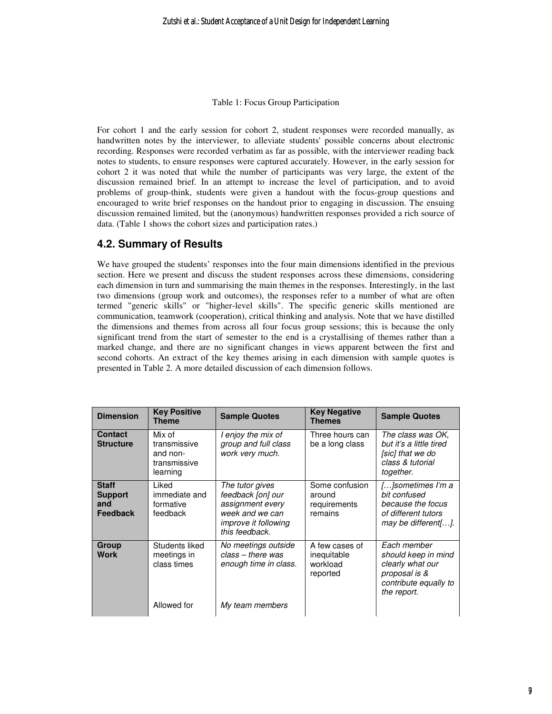Table 1: Focus Group Participation

For cohort 1 and the early session for cohort 2, student responses were recorded manually, as handwritten notes by the interviewer, to alleviate students' possible concerns about electronic recording. Responses were recorded verbatim as far as possible, with the interviewer reading back notes to students, to ensure responses were captured accurately. However, in the early session for cohort 2 it was noted that while the number of participants was very large, the extent of the discussion remained brief. In an attempt to increase the level of participation, and to avoid problems of group-think, students were given a handout with the focus-group questions and encouraged to write brief responses on the handout prior to engaging in discussion. The ensuing discussion remained limited, but the (anonymous) handwritten responses provided a rich source of data. (Table 1 shows the cohort sizes and participation rates.)

## **4.2. Summary of Results**

We have grouped the students' responses into the four main dimensions identified in the previous section. Here we present and discuss the student responses across these dimensions, considering each dimension in turn and summarising the main themes in the responses. Interestingly, in the last two dimensions (group work and outcomes), the responses refer to a number of what are often termed "generic skills" or "higher-level skills". The specific generic skills mentioned are communication, teamwork (cooperation), critical thinking and analysis. Note that we have distilled the dimensions and themes from across all four focus group sessions; this is because the only significant trend from the start of semester to the end is a crystallising of themes rather than a marked change, and there are no significant changes in views apparent between the first and second cohorts. An extract of the key themes arising in each dimension with sample quotes is presented in Table 2. A more detailed discussion of each dimension follows.

| <b>Dimension</b>                                         | <b>Key Positive</b><br><b>Theme</b>                            | <b>Sample Quotes</b>                                                                                                         | <b>Key Negative</b><br><b>Themes</b>                  | <b>Sample Quotes</b>                                                                                            |
|----------------------------------------------------------|----------------------------------------------------------------|------------------------------------------------------------------------------------------------------------------------------|-------------------------------------------------------|-----------------------------------------------------------------------------------------------------------------|
| <b>Contact</b><br><b>Structure</b>                       | Mix of<br>transmissive<br>and non-<br>transmissive<br>learning | I enjoy the mix of<br>group and full class<br>work very much.                                                                | Three hours can<br>be a long class                    | The class was OK.<br>but it's a little tired<br>[sic] that we do<br>class & tutorial<br>together.               |
| <b>Staff</b><br><b>Support</b><br>and<br><b>Feedback</b> | Liked<br>immediate and<br>formative<br>feedback                | The tutor gives<br>feedback [on] our<br>assignment every<br>week and we can<br><i>improve it following</i><br>this feedback. | Some confusion<br>around<br>requirements<br>remains   | []sometimes I'm a<br>bit confused<br>because the focus<br>of different tutors<br>may be different[].            |
| Group<br>Work                                            | Students liked<br>meetings in<br>class times                   | No meetings outside<br>$class - there was$<br>enough time in class.                                                          | A few cases of<br>inequitable<br>workload<br>reported | Each member<br>should keep in mind<br>clearly what our<br>proposal is &<br>contribute equally to<br>the report. |
|                                                          | Allowed for                                                    | My team members                                                                                                              |                                                       |                                                                                                                 |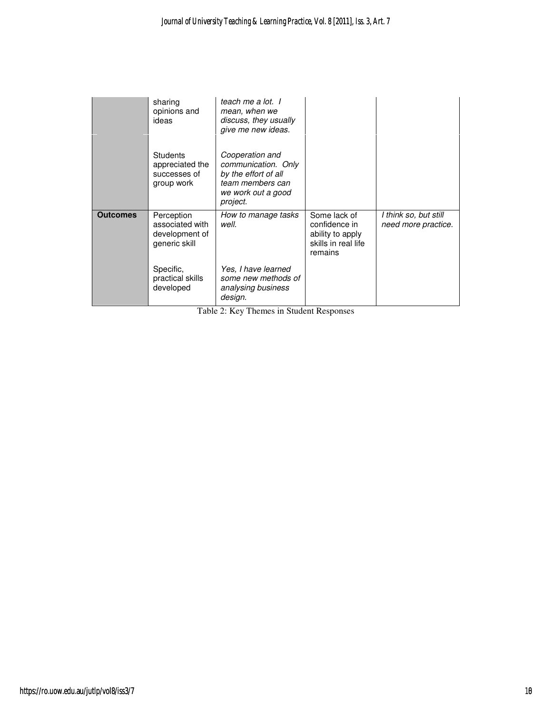|                 | sharing<br>opinions and<br>ideas                                 | teach me a lot. I<br>mean, when we<br>discuss, they usually<br>give me new ideas.                                    |                                                                                     |                                              |
|-----------------|------------------------------------------------------------------|----------------------------------------------------------------------------------------------------------------------|-------------------------------------------------------------------------------------|----------------------------------------------|
|                 | <b>Students</b><br>appreciated the<br>successes of<br>group work | Cooperation and<br>communication. Only<br>by the effort of all<br>team members can<br>we work out a good<br>project. |                                                                                     |                                              |
| <b>Outcomes</b> | Perception<br>associated with<br>development of<br>generic skill | How to manage tasks<br>well.                                                                                         | Some lack of<br>confidence in<br>ability to apply<br>skills in real life<br>remains | I think so, but still<br>need more practice. |
|                 | Specific,<br>practical skills<br>developed                       | Yes, I have learned<br>some new methods of<br>analysing business<br>design.                                          |                                                                                     |                                              |

Table 2: Key Themes in Student Responses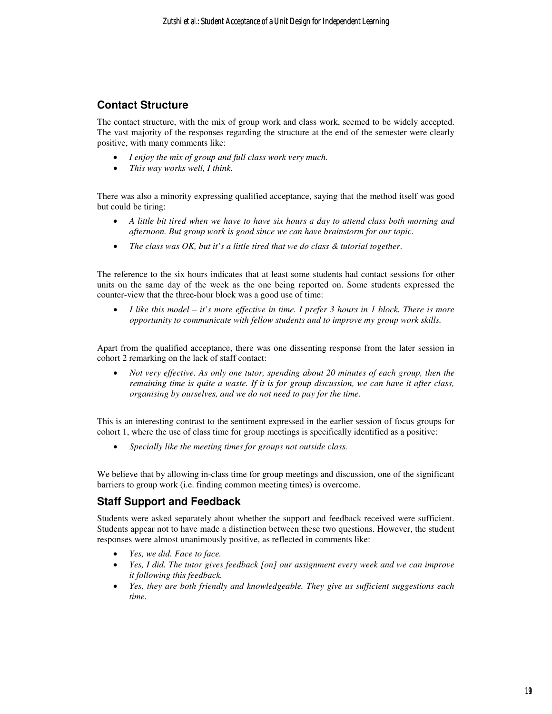#### **Contact Structure**

The contact structure, with the mix of group work and class work, seemed to be widely accepted. The vast majority of the responses regarding the structure at the end of the semester were clearly positive, with many comments like:

- *I enjoy the mix of group and full class work very much.*
- *This way works well, I think.*

There was also a minority expressing qualified acceptance, saying that the method itself was good but could be tiring:

- *A little bit tired when we have to have six hours a day to attend class both morning and afternoon. But group work is good since we can have brainstorm for our topic.*
- *The class was OK, but it's a little tired that we do class & tutorial together*.

The reference to the six hours indicates that at least some students had contact sessions for other units on the same day of the week as the one being reported on. Some students expressed the counter-view that the three-hour block was a good use of time:

• *I like this model – it's more effective in time. I prefer 3 hours in 1 block. There is more opportunity to communicate with fellow students and to improve my group work skills.* 

Apart from the qualified acceptance, there was one dissenting response from the later session in cohort 2 remarking on the lack of staff contact:

• *Not very effective. As only one tutor, spending about 20 minutes of each group, then the remaining time is quite a waste. If it is for group discussion, we can have it after class, organising by ourselves, and we do not need to pay for the time.* 

This is an interesting contrast to the sentiment expressed in the earlier session of focus groups for cohort 1, where the use of class time for group meetings is specifically identified as a positive:

• *Specially like the meeting times for groups not outside class.* 

We believe that by allowing in-class time for group meetings and discussion, one of the significant barriers to group work (i.e. finding common meeting times) is overcome.

## **Staff Support and Feedback**

Students were asked separately about whether the support and feedback received were sufficient. Students appear not to have made a distinction between these two questions. However, the student responses were almost unanimously positive, as reflected in comments like:

- *Yes, we did. Face to face.*
- *Yes, I did. The tutor gives feedback [on] our assignment every week and we can improve it following this feedback.*
- *Yes, they are both friendly and knowledgeable. They give us sufficient suggestions each time.*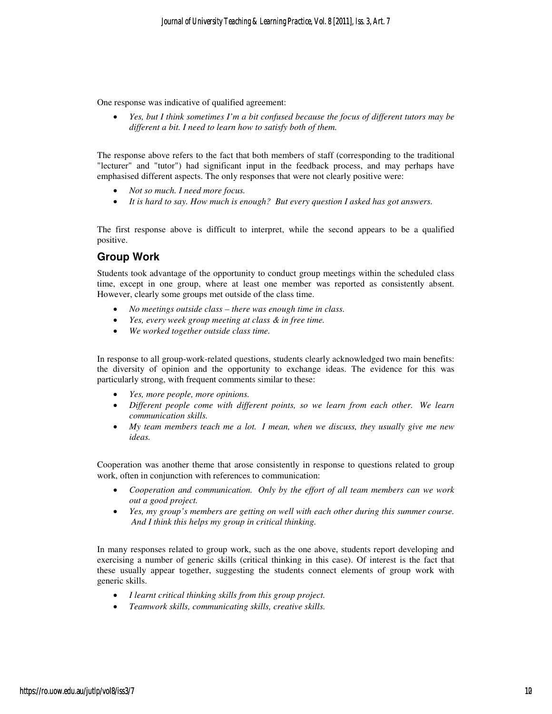One response was indicative of qualified agreement:

• *Yes, but I think sometimes I'm a bit confused because the focus of different tutors may be different a bit. I need to learn how to satisfy both of them.*

The response above refers to the fact that both members of staff (corresponding to the traditional "lecturer" and "tutor") had significant input in the feedback process, and may perhaps have emphasised different aspects. The only responses that were not clearly positive were:

- *Not so much. I need more focus.*
- *It is hard to say. How much is enough? But every question I asked has got answers.*

The first response above is difficult to interpret, while the second appears to be a qualified positive.

## **Group Work**

Students took advantage of the opportunity to conduct group meetings within the scheduled class time, except in one group, where at least one member was reported as consistently absent. However, clearly some groups met outside of the class time.

- *No meetings outside class there was enough time in class.*
- *Yes, every week group meeting at class & in free time.*
- *We worked together outside class time.*

In response to all group-work-related questions, students clearly acknowledged two main benefits: the diversity of opinion and the opportunity to exchange ideas. The evidence for this was particularly strong, with frequent comments similar to these:

- *Yes, more people, more opinions.*
- *Different people come with different points, so we learn from each other. We learn communication skills.*
- *My team members teach me a lot. I mean, when we discuss, they usually give me new ideas.*

Cooperation was another theme that arose consistently in response to questions related to group work, often in conjunction with references to communication:

- *Cooperation and communication. Only by the effort of all team members can we work out a good project.*
- *Yes, my group's members are getting on well with each other during this summer course. And I think this helps my group in critical thinking.*

In many responses related to group work, such as the one above, students report developing and exercising a number of generic skills (critical thinking in this case). Of interest is the fact that these usually appear together, suggesting the students connect elements of group work with generic skills.

- *I learnt critical thinking skills from this group project.*
- *Teamwork skills, communicating skills, creative skills.*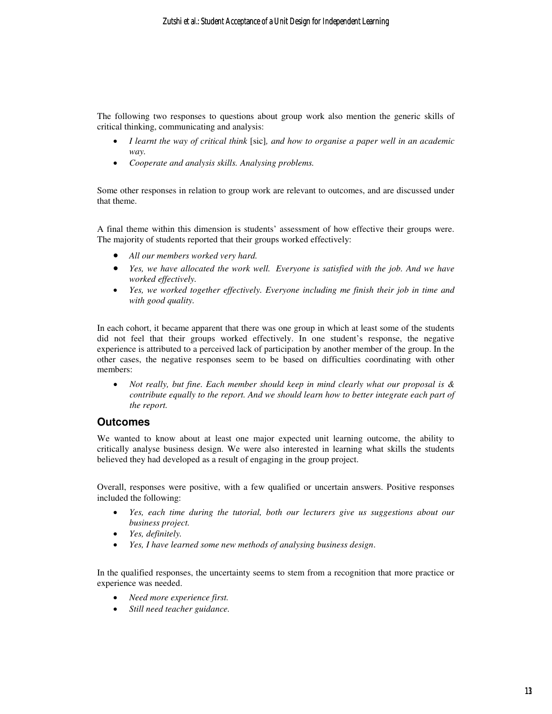The following two responses to questions about group work also mention the generic skills of critical thinking, communicating and analysis:

- *I learnt the way of critical think* [sic]*, and how to organise a paper well in an academic way.*
- *Cooperate and analysis skills. Analysing problems.*

Some other responses in relation to group work are relevant to outcomes, and are discussed under that theme.

A final theme within this dimension is students' assessment of how effective their groups were. The majority of students reported that their groups worked effectively:

- *All our members worked very hard.*
- *Yes, we have allocated the work well. Everyone is satisfied with the job. And we have worked effectively.*
- *Yes, we worked together effectively. Everyone including me finish their job in time and with good quality.*

In each cohort, it became apparent that there was one group in which at least some of the students did not feel that their groups worked effectively. In one student's response, the negative experience is attributed to a perceived lack of participation by another member of the group. In the other cases, the negative responses seem to be based on difficulties coordinating with other members:

• *Not really, but fine. Each member should keep in mind clearly what our proposal is & contribute equally to the report. And we should learn how to better integrate each part of the report.* 

#### **Outcomes**

We wanted to know about at least one major expected unit learning outcome, the ability to critically analyse business design. We were also interested in learning what skills the students believed they had developed as a result of engaging in the group project.

Overall, responses were positive, with a few qualified or uncertain answers. Positive responses included the following:

- *Yes, each time during the tutorial, both our lecturers give us suggestions about our business project.*
- *Yes, definitely.*
- *Yes, I have learned some new methods of analysing business design*.

In the qualified responses, the uncertainty seems to stem from a recognition that more practice or experience was needed.

- *Need more experience first.*
- *Still need teacher guidance.*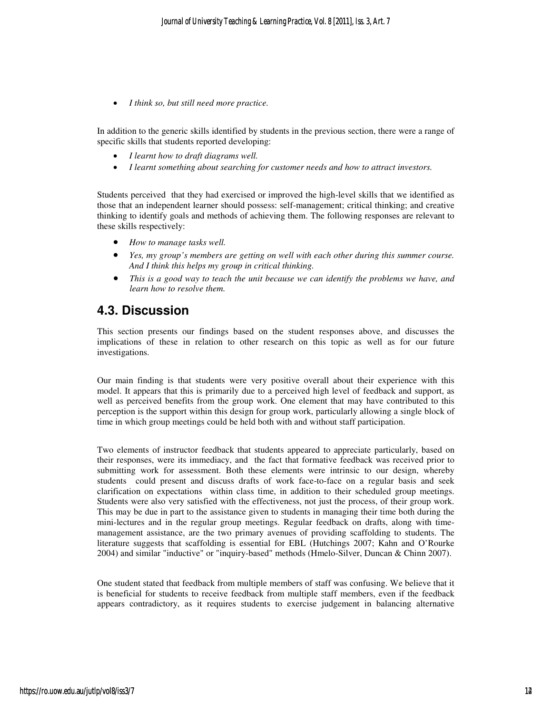• *I think so, but still need more practice.*

In addition to the generic skills identified by students in the previous section, there were a range of specific skills that students reported developing:

- *I learnt how to draft diagrams well.*
- *I learnt something about searching for customer needs and how to attract investors.*

Students perceived that they had exercised or improved the high-level skills that we identified as those that an independent learner should possess: self-management; critical thinking; and creative thinking to identify goals and methods of achieving them. The following responses are relevant to these skills respectively:

- *How to manage tasks well.*
- *Yes, my group's members are getting on well with each other during this summer course. And I think this helps my group in critical thinking.*
- *This is a good way to teach the unit because we can identify the problems we have, and learn how to resolve them.*

## **4.3. Discussion**

This section presents our findings based on the student responses above, and discusses the implications of these in relation to other research on this topic as well as for our future investigations.

Our main finding is that students were very positive overall about their experience with this model. It appears that this is primarily due to a perceived high level of feedback and support, as well as perceived benefits from the group work. One element that may have contributed to this perception is the support within this design for group work, particularly allowing a single block of time in which group meetings could be held both with and without staff participation.

Two elements of instructor feedback that students appeared to appreciate particularly, based on their responses, were its immediacy, and the fact that formative feedback was received prior to submitting work for assessment. Both these elements were intrinsic to our design, whereby students could present and discuss drafts of work face-to-face on a regular basis and seek clarification on expectations within class time, in addition to their scheduled group meetings. Students were also very satisfied with the effectiveness, not just the process, of their group work. This may be due in part to the assistance given to students in managing their time both during the mini-lectures and in the regular group meetings. Regular feedback on drafts, along with timemanagement assistance, are the two primary avenues of providing scaffolding to students. The literature suggests that scaffolding is essential for EBL (Hutchings 2007; Kahn and O'Rourke 2004) and similar "inductive" or "inquiry-based" methods (Hmelo-Silver, Duncan & Chinn 2007).

One student stated that feedback from multiple members of staff was confusing. We believe that it is beneficial for students to receive feedback from multiple staff members, even if the feedback appears contradictory, as it requires students to exercise judgement in balancing alternative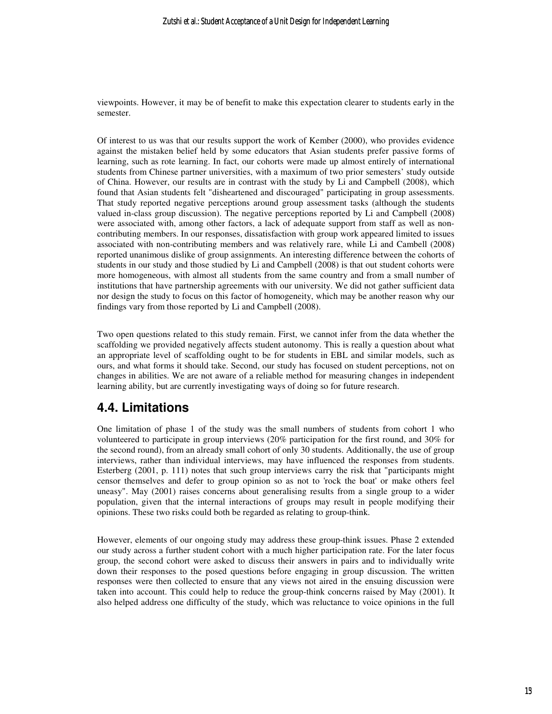viewpoints. However, it may be of benefit to make this expectation clearer to students early in the semester.

Of interest to us was that our results support the work of Kember (2000), who provides evidence against the mistaken belief held by some educators that Asian students prefer passive forms of learning, such as rote learning. In fact, our cohorts were made up almost entirely of international students from Chinese partner universities, with a maximum of two prior semesters' study outside of China. However, our results are in contrast with the study by Li and Campbell (2008), which found that Asian students felt "disheartened and discouraged" participating in group assessments. That study reported negative perceptions around group assessment tasks (although the students valued in-class group discussion). The negative perceptions reported by Li and Campbell (2008) were associated with, among other factors, a lack of adequate support from staff as well as noncontributing members. In our responses, dissatisfaction with group work appeared limited to issues associated with non-contributing members and was relatively rare, while Li and Cambell (2008) reported unanimous dislike of group assignments. An interesting difference between the cohorts of students in our study and those studied by Li and Campbell (2008) is that out student cohorts were more homogeneous, with almost all students from the same country and from a small number of institutions that have partnership agreements with our university. We did not gather sufficient data nor design the study to focus on this factor of homogeneity, which may be another reason why our findings vary from those reported by Li and Campbell (2008).

Two open questions related to this study remain. First, we cannot infer from the data whether the scaffolding we provided negatively affects student autonomy. This is really a question about what an appropriate level of scaffolding ought to be for students in EBL and similar models, such as ours, and what forms it should take. Second, our study has focused on student perceptions, not on changes in abilities. We are not aware of a reliable method for measuring changes in independent learning ability, but are currently investigating ways of doing so for future research.

# **4.4. Limitations**

One limitation of phase 1 of the study was the small numbers of students from cohort 1 who volunteered to participate in group interviews (20% participation for the first round, and 30% for the second round), from an already small cohort of only 30 students. Additionally, the use of group interviews, rather than individual interviews, may have influenced the responses from students. Esterberg (2001, p. 111) notes that such group interviews carry the risk that "participants might censor themselves and defer to group opinion so as not to 'rock the boat' or make others feel uneasy". May (2001) raises concerns about generalising results from a single group to a wider population, given that the internal interactions of groups may result in people modifying their opinions. These two risks could both be regarded as relating to group-think.

However, elements of our ongoing study may address these group-think issues. Phase 2 extended our study across a further student cohort with a much higher participation rate. For the later focus group, the second cohort were asked to discuss their answers in pairs and to individually write down their responses to the posed questions before engaging in group discussion. The written responses were then collected to ensure that any views not aired in the ensuing discussion were taken into account. This could help to reduce the group-think concerns raised by May (2001). It also helped address one difficulty of the study, which was reluctance to voice opinions in the full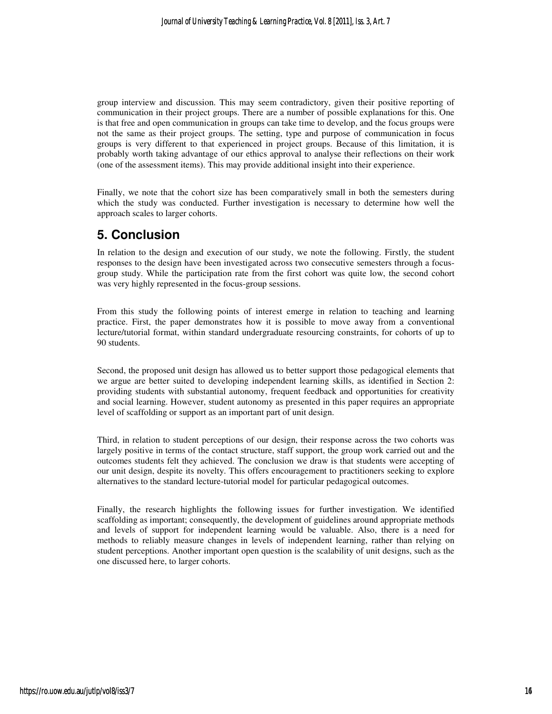group interview and discussion. This may seem contradictory, given their positive reporting of communication in their project groups. There are a number of possible explanations for this. One is that free and open communication in groups can take time to develop, and the focus groups were not the same as their project groups. The setting, type and purpose of communication in focus groups is very different to that experienced in project groups. Because of this limitation, it is probably worth taking advantage of our ethics approval to analyse their reflections on their work (one of the assessment items). This may provide additional insight into their experience.

Finally, we note that the cohort size has been comparatively small in both the semesters during which the study was conducted. Further investigation is necessary to determine how well the approach scales to larger cohorts.

# **5. Conclusion**

In relation to the design and execution of our study, we note the following. Firstly, the student responses to the design have been investigated across two consecutive semesters through a focusgroup study. While the participation rate from the first cohort was quite low, the second cohort was very highly represented in the focus-group sessions.

From this study the following points of interest emerge in relation to teaching and learning practice. First, the paper demonstrates how it is possible to move away from a conventional lecture/tutorial format, within standard undergraduate resourcing constraints, for cohorts of up to 90 students.

Second, the proposed unit design has allowed us to better support those pedagogical elements that we argue are better suited to developing independent learning skills, as identified in Section 2: providing students with substantial autonomy, frequent feedback and opportunities for creativity and social learning. However, student autonomy as presented in this paper requires an appropriate level of scaffolding or support as an important part of unit design.

Third, in relation to student perceptions of our design, their response across the two cohorts was largely positive in terms of the contact structure, staff support, the group work carried out and the outcomes students felt they achieved. The conclusion we draw is that students were accepting of our unit design, despite its novelty. This offers encouragement to practitioners seeking to explore alternatives to the standard lecture-tutorial model for particular pedagogical outcomes.

Finally, the research highlights the following issues for further investigation. We identified scaffolding as important; consequently, the development of guidelines around appropriate methods and levels of support for independent learning would be valuable. Also, there is a need for methods to reliably measure changes in levels of independent learning, rather than relying on student perceptions. Another important open question is the scalability of unit designs, such as the one discussed here, to larger cohorts.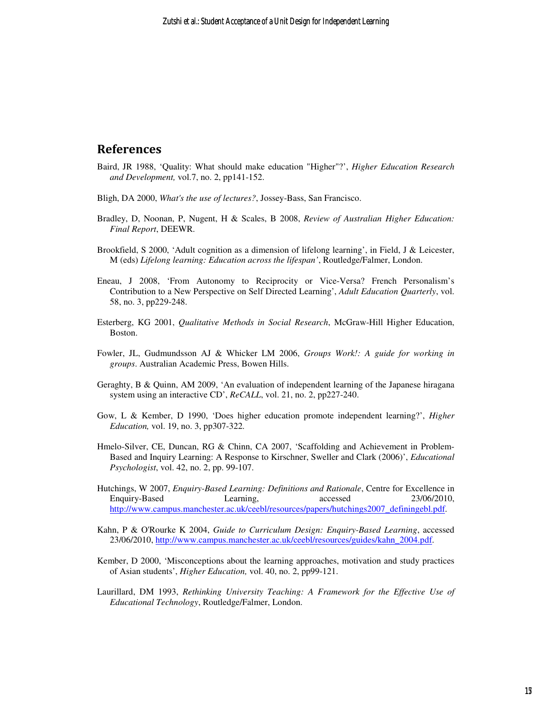### References

- Baird, JR 1988, 'Quality: What should make education "Higher"?', *Higher Education Research and Development,* vol.7, no. 2, pp141-152.
- Bligh, DA 2000, *What's the use of lectures?*, Jossey-Bass, San Francisco.
- Bradley, D, Noonan, P, Nugent, H & Scales, B 2008, *Review of Australian Higher Education: Final Report*, DEEWR.
- Brookfield, S 2000, 'Adult cognition as a dimension of lifelong learning', in Field, J & Leicester, M (eds) *Lifelong learning: Education across the lifespan'*, Routledge/Falmer, London.
- Eneau, J 2008, 'From Autonomy to Reciprocity or Vice-Versa? French Personalism's Contribution to a New Perspective on Self Directed Learning', *Adult Education Quarterly*, vol. 58, no. 3, pp229-248.
- Esterberg, KG 2001, *Qualitative Methods in Social Research*, McGraw-Hill Higher Education, Boston.
- Fowler, JL, Gudmundsson AJ & Whicker LM 2006, *Groups Work!: A guide for working in groups*. Australian Academic Press, Bowen Hills.
- Geraghty, B & Quinn, AM 2009, 'An evaluation of independent learning of the Japanese hiragana system using an interactive CD', *ReCALL*, vol. 21, no. 2, pp227-240.
- Gow, L & Kember, D 1990, 'Does higher education promote independent learning?', *Higher Education,* vol. 19, no. 3, pp307-322*.*
- Hmelo-Silver, CE, Duncan, RG & Chinn, CA 2007, 'Scaffolding and Achievement in Problem-Based and Inquiry Learning: A Response to Kirschner, Sweller and Clark (2006)', *Educational Psychologist*, vol. 42, no. 2, pp. 99-107.
- Hutchings, W 2007, *Enquiry-Based Learning: Definitions and Rationale*, Centre for Excellence in Enquiry-Based Learning, accessed 23/06/2010, http://www.campus.manchester.ac.uk/ceebl/resources/papers/hutchings2007\_definingebl.pdf.
- Kahn, P & O'Rourke K 2004, *Guide to Curriculum Design: Enquiry-Based Learning*, accessed 23/06/2010, http://www.campus.manchester.ac.uk/ceebl/resources/guides/kahn\_2004.pdf.
- Kember, D 2000, 'Misconceptions about the learning approaches, motivation and study practices of Asian students', *Higher Education,* vol. 40, no. 2, pp99-121.
- Laurillard, DM 1993, *Rethinking University Teaching: A Framework for the Effective Use of Educational Technology*, Routledge/Falmer, London.